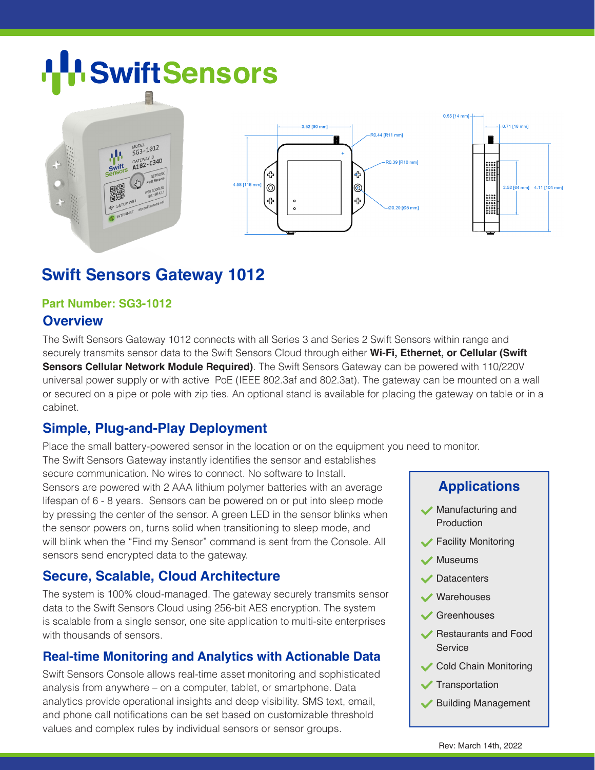# **SwiftSensors**



## **Swift Sensors Gateway 1012**

#### **Part Number: SG3-1012**

### **Overview**

The Swift Sensors Gateway 1012 connects with all Series 3 and Series 2 Swift Sensors within range and securely transmits sensor data to the Swift Sensors Cloud through either **Wi-Fi, Ethernet, or Cellular (Swift Sensors Cellular Network Module Required)**. The Swift Sensors Gateway can be powered with 110/220V universal power supply or with active PoE (IEEE 802.3af and 802.3at). The gateway can be mounted on a wall or secured on a pipe or pole with zip ties. An optional stand is available for placing the gateway on table or in a cabinet.

## **Simple, Plug-and-Play Deployment**

Place the small battery-powered sensor in the location or on the equipment you need to monitor.

The Swift Sensors Gateway instantly identifies the sensor and establishes secure communication. No wires to connect. No software to Install. Sensors are powered with 2 AAA lithium polymer batteries with an average lifespan of 6 - 8 years. Sensors can be powered on or put into sleep mode by pressing the center of the sensor. A green LED in the sensor blinks when the sensor powers on, turns solid when transitioning to sleep mode, and will blink when the "Find my Sensor" command is sent from the Console. All sensors send encrypted data to the gateway.

## **Secure, Scalable, Cloud Architecture**

The system is 100% cloud-managed. The gateway securely transmits sensor data to the Swift Sensors Cloud using 256-bit AES encryption. The system is scalable from a single sensor, one site application to multi-site enterprises with thousands of sensors.

## **Real-time Monitoring and Analytics with Actionable Data**

Swift Sensors Console allows real-time asset monitoring and sophisticated analysis from anywhere – on a computer, tablet, or smartphone. Data analytics provide operational insights and deep visibility. SMS text, email, and phone call notifications can be set based on customizable threshold values and complex rules by individual sensors or sensor groups.

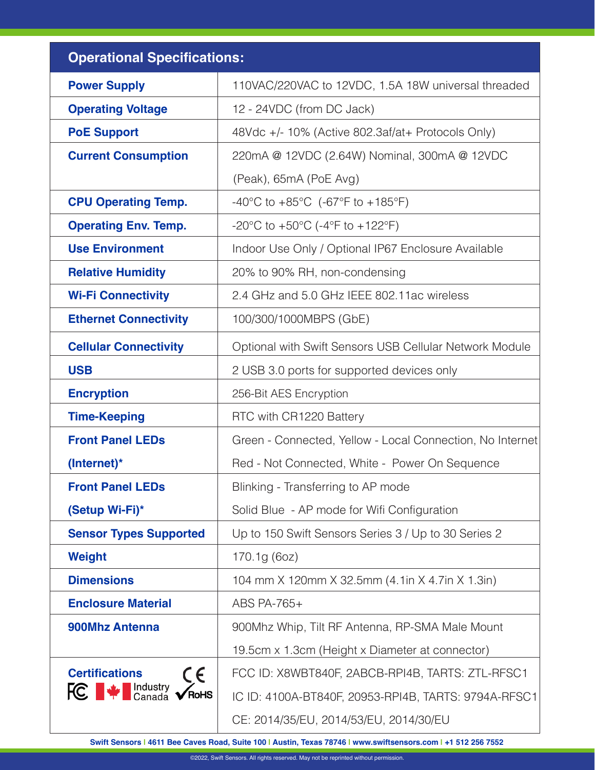| <b>Operational Specifications:</b>                                  |                                                           |
|---------------------------------------------------------------------|-----------------------------------------------------------|
| <b>Power Supply</b>                                                 | 110VAC/220VAC to 12VDC, 1.5A 18W universal threaded       |
| <b>Operating Voltage</b>                                            | 12 - 24VDC (from DC Jack)                                 |
| <b>PoE Support</b>                                                  | 48Vdc +/- 10% (Active 802.3af/at+ Protocols Only)         |
| <b>Current Consumption</b>                                          | 220mA @ 12VDC (2.64W) Nominal, 300mA @ 12VDC              |
|                                                                     | (Peak), 65mA (PoE Avg)                                    |
| <b>CPU Operating Temp.</b>                                          | -40°C to +85°C (-67°F to +185°F)                          |
| <b>Operating Env. Temp.</b>                                         | -20°C to +50°C (-4°F to +122°F)                           |
| <b>Use Environment</b>                                              | Indoor Use Only / Optional IP67 Enclosure Available       |
| <b>Relative Humidity</b>                                            | 20% to 90% RH, non-condensing                             |
| <b>Wi-Fi Connectivity</b>                                           | 2.4 GHz and 5.0 GHz IEEE 802.11ac wireless                |
| <b>Ethernet Connectivity</b>                                        | 100/300/1000MBPS (GbE)                                    |
| <b>Cellular Connectivity</b>                                        | Optional with Swift Sensors USB Cellular Network Module   |
| <b>USB</b>                                                          | 2 USB 3.0 ports for supported devices only                |
| <b>Encryption</b>                                                   | 256-Bit AES Encryption                                    |
| <b>Time-Keeping</b>                                                 | RTC with CR1220 Battery                                   |
| <b>Front Panel LEDs</b>                                             | Green - Connected, Yellow - Local Connection, No Internet |
| (Internet)*                                                         | Red - Not Connected, White - Power On Sequence            |
| <b>Front Panel LEDs</b>                                             | Blinking - Transferring to AP mode                        |
| (Setup Wi-Fi)*                                                      | Solid Blue - AP mode for Wifi Configuration               |
| <b>Sensor Types Supported</b>                                       | Up to 150 Swift Sensors Series 3 / Up to 30 Series 2      |
| <b>Weight</b>                                                       | 170.1g (6oz)                                              |
| <b>Dimensions</b>                                                   | 104 mm X 120mm X 32.5mm (4.1in X 4.7in X 1.3in)           |
| <b>Enclosure Material</b>                                           | ABS PA-765+                                               |
| 900Mhz Antenna                                                      | 900Mhz Whip, Tilt RF Antenna, RP-SMA Male Mount           |
| <b>Certifications</b><br>CE<br><b>FC</b> $\bullet$ Medustry<br>RoHS | 19.5cm x 1.3cm (Height x Diameter at connector)           |
|                                                                     | FCC ID: X8WBT840F, 2ABCB-RPI4B, TARTS: ZTL-RFSC1          |
|                                                                     | IC ID: 4100A-BT840F, 20953-RPI4B, TARTS: 9794A-RFSC1      |
|                                                                     | CE: 2014/35/EU, 2014/53/EU, 2014/30/EU                    |

**Swift Sensors | 4611 Bee Caves Road, Suite 100 | Austin, Texas 78746 | www.swiftsensors.com | +1 512 256 7552**

©2022, Swift Sensors. All rights reserved. May not be reprinted without permission.